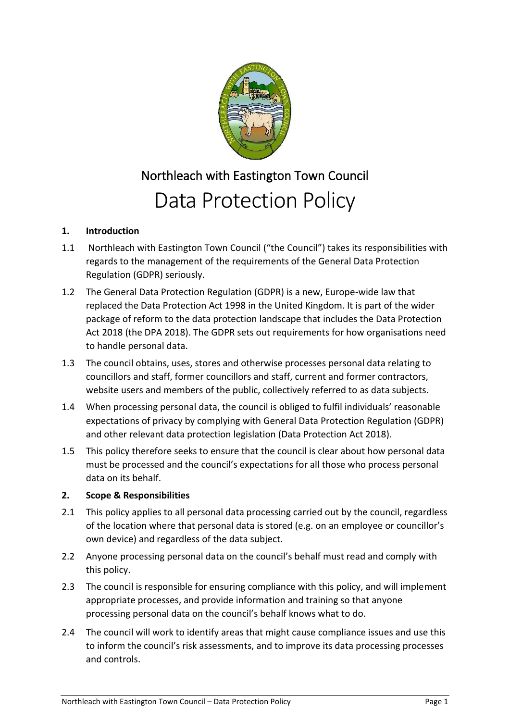

# Northleach with Eastington Town Council Data Protection Policy

# **1. Introduction**

- 1.1 Northleach with Eastington Town Council ("the Council") takes its responsibilities with regards to the management of the requirements of the General Data Protection Regulation (GDPR) seriously.
- 1.2 The General Data Protection Regulation (GDPR) is a new, Europe-wide law that replaced the Data Protection Act 1998 in the United Kingdom. It is part of the wider package of reform to the data protection landscape that includes the Data Protection Act 2018 (the DPA 2018). The GDPR sets out requirements for how organisations need to handle personal data.
- 1.3 The council obtains, uses, stores and otherwise processes personal data relating to councillors and staff, former councillors and staff, current and former contractors, website users and members of the public, collectively referred to as data subjects.
- 1.4 When processing personal data, the council is obliged to fulfil individuals' reasonable expectations of privacy by complying with General Data Protection Regulation (GDPR) and other relevant data protection legislation (Data Protection Act 2018).
- 1.5 This policy therefore seeks to ensure that the council is clear about how personal data must be processed and the council's expectations for all those who process personal data on its behalf.

## **2. Scope & Responsibilities**

- 2.1 This policy applies to all personal data processing carried out by the council, regardless of the location where that personal data is stored (e.g. on an employee or councillor's own device) and regardless of the data subject.
- 2.2 Anyone processing personal data on the council's behalf must read and comply with this policy.
- 2.3 The council is responsible for ensuring compliance with this policy, and will implement appropriate processes, and provide information and training so that anyone processing personal data on the council's behalf knows what to do.
- 2.4 The council will work to identify areas that might cause compliance issues and use this to inform the council's risk assessments, and to improve its data processing processes and controls.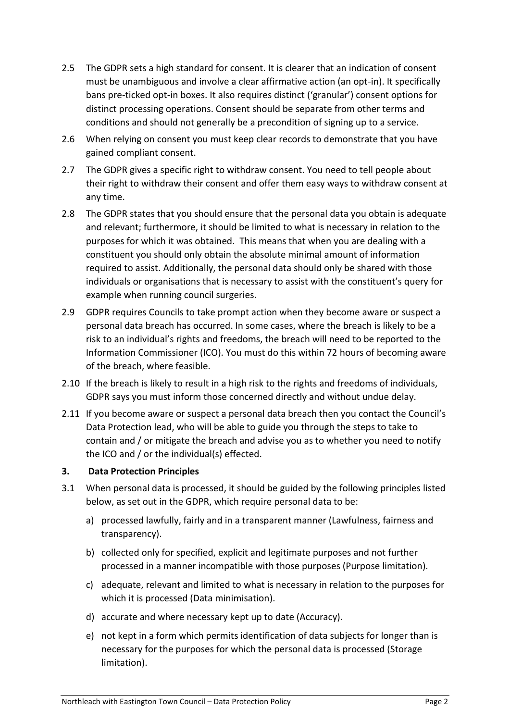- 2.5 The GDPR sets a high standard for consent. It is clearer that an indication of consent must be unambiguous and involve a clear affirmative action (an opt-in). It specifically bans pre-ticked opt-in boxes. It also requires distinct ('granular') consent options for distinct processing operations. Consent should be separate from other terms and conditions and should not generally be a precondition of signing up to a service.
- 2.6 When relying on consent you must keep clear records to demonstrate that you have gained compliant consent.
- 2.7 The GDPR gives a specific right to withdraw consent. You need to tell people about their right to withdraw their consent and offer them easy ways to withdraw consent at any time.
- 2.8 The GDPR states that you should ensure that the personal data you obtain is adequate and relevant; furthermore, it should be limited to what is necessary in relation to the purposes for which it was obtained. This means that when you are dealing with a constituent you should only obtain the absolute minimal amount of information required to assist. Additionally, the personal data should only be shared with those individuals or organisations that is necessary to assist with the constituent's query for example when running council surgeries.
- 2.9 GDPR requires Councils to take prompt action when they become aware or suspect a personal data breach has occurred. In some cases, where the breach is likely to be a risk to an individual's rights and freedoms, the breach will need to be reported to the Information Commissioner (ICO). You must do this within 72 hours of becoming aware of the breach, where feasible.
- 2.10 If the breach is likely to result in a high risk to the rights and freedoms of individuals, GDPR says you must inform those concerned directly and without undue delay.
- 2.11 If you become aware or suspect a personal data breach then you contact the Council's Data Protection lead, who will be able to guide you through the steps to take to contain and / or mitigate the breach and advise you as to whether you need to notify the ICO and / or the individual(s) effected.

## **3. Data Protection Principles**

- 3.1 When personal data is processed, it should be guided by the following principles listed below, as set out in the GDPR, which require personal data to be:
	- a) processed lawfully, fairly and in a transparent manner (Lawfulness, fairness and transparency).
	- b) collected only for specified, explicit and legitimate purposes and not further processed in a manner incompatible with those purposes (Purpose limitation).
	- c) adequate, relevant and limited to what is necessary in relation to the purposes for which it is processed (Data minimisation).
	- d) accurate and where necessary kept up to date (Accuracy).
	- e) not kept in a form which permits identification of data subjects for longer than is necessary for the purposes for which the personal data is processed (Storage limitation).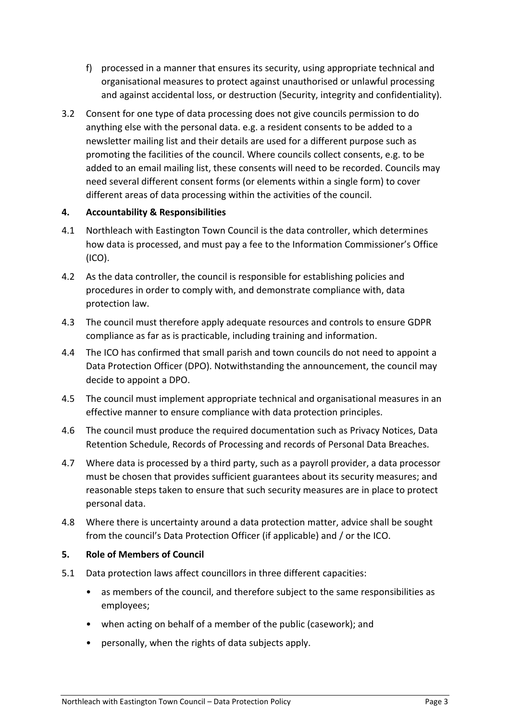- f) processed in a manner that ensures its security, using appropriate technical and organisational measures to protect against unauthorised or unlawful processing and against accidental loss, or destruction (Security, integrity and confidentiality).
- 3.2 Consent for one type of data processing does not give councils permission to do anything else with the personal data. e.g. a resident consents to be added to a newsletter mailing list and their details are used for a different purpose such as promoting the facilities of the council. Where councils collect consents, e.g. to be added to an email mailing list, these consents will need to be recorded. Councils may need several different consent forms (or elements within a single form) to cover different areas of data processing within the activities of the council.

## **4. Accountability & Responsibilities**

- 4.1 Northleach with Eastington Town Council is the data controller, which determines how data is processed, and must pay a fee to the Information Commissioner's Office (ICO).
- 4.2 As the data controller, the council is responsible for establishing policies and procedures in order to comply with, and demonstrate compliance with, data protection law.
- 4.3 The council must therefore apply adequate resources and controls to ensure GDPR compliance as far as is practicable, including training and information.
- 4.4 The ICO has confirmed that small parish and town councils do not need to appoint a Data Protection Officer (DPO). Notwithstanding the announcement, the council may decide to appoint a DPO.
- 4.5 The council must implement appropriate technical and organisational measures in an effective manner to ensure compliance with data protection principles.
- 4.6 The council must produce the required documentation such as Privacy Notices, Data Retention Schedule, Records of Processing and records of Personal Data Breaches.
- 4.7 Where data is processed by a third party, such as a payroll provider, a data processor must be chosen that provides sufficient guarantees about its security measures; and reasonable steps taken to ensure that such security measures are in place to protect personal data.
- 4.8 Where there is uncertainty around a data protection matter, advice shall be sought from the council's Data Protection Officer (if applicable) and / or the ICO.

#### **5. Role of Members of Council**

- 5.1 Data protection laws affect councillors in three different capacities:
	- as members of the council, and therefore subject to the same responsibilities as employees;
	- when acting on behalf of a member of the public (casework); and
	- personally, when the rights of data subjects apply.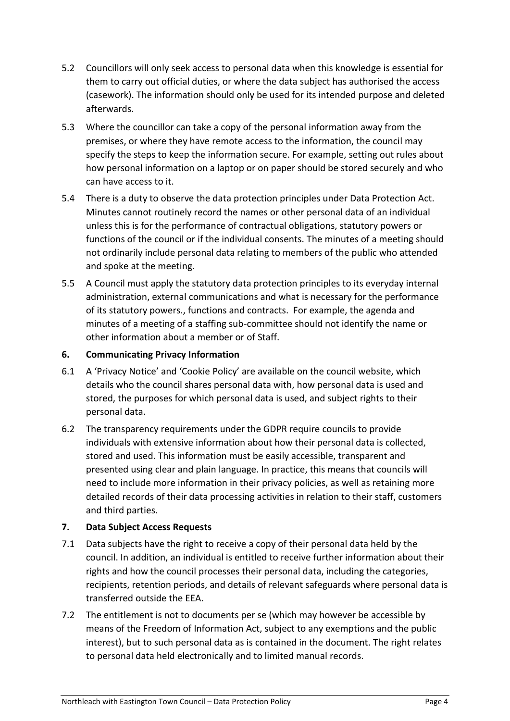- 5.2 Councillors will only seek access to personal data when this knowledge is essential for them to carry out official duties, or where the data subject has authorised the access (casework). The information should only be used for its intended purpose and deleted afterwards.
- 5.3 Where the councillor can take a copy of the personal information away from the premises, or where they have remote access to the information, the council may specify the steps to keep the information secure. For example, setting out rules about how personal information on a laptop or on paper should be stored securely and who can have access to it.
- 5.4 There is a duty to observe the data protection principles under Data Protection Act. Minutes cannot routinely record the names or other personal data of an individual unless this is for the performance of contractual obligations, statutory powers or functions of the council or if the individual consents. The minutes of a meeting should not ordinarily include personal data relating to members of the public who attended and spoke at the meeting.
- 5.5 A Council must apply the statutory data protection principles to its everyday internal administration, external communications and what is necessary for the performance of its statutory powers., functions and contracts. For example, the agenda and minutes of a meeting of a staffing sub-committee should not identify the name or other information about a member or of Staff.

## **6. Communicating Privacy Information**

- 6.1 A 'Privacy Notice' and 'Cookie Policy' are available on the council website, which details who the council shares personal data with, how personal data is used and stored, the purposes for which personal data is used, and subject rights to their personal data.
- 6.2 The transparency requirements under the GDPR require councils to provide individuals with extensive information about how their personal data is collected, stored and used. This information must be easily accessible, transparent and presented using clear and plain language. In practice, this means that councils will need to include more information in their privacy policies, as well as retaining more detailed records of their data processing activities in relation to their staff, customers and third parties.

#### **7. Data Subject Access Requests**

- 7.1 Data subjects have the right to receive a copy of their personal data held by the council. In addition, an individual is entitled to receive further information about their rights and how the council processes their personal data, including the categories, recipients, retention periods, and details of relevant safeguards where personal data is transferred outside the EEA.
- 7.2 The entitlement is not to documents per se (which may however be accessible by means of the Freedom of Information Act, subject to any exemptions and the public interest), but to such personal data as is contained in the document. The right relates to personal data held electronically and to limited manual records.